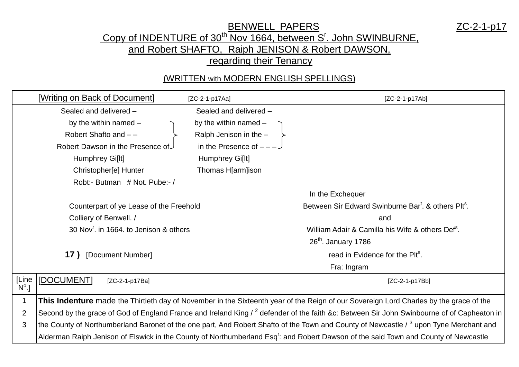## BENWELL PAPERS ZC-2-1-p17 Copy of INDENTURE of 30<sup>th</sup> Nov 1664, between S'. John SWINBURNE, and Robert SHAFTO, Raiph JENISON & Robert DAWSON, regarding their Tenancy

## (WRITTEN with MODERN ENGLISH SPELLINGS)

|                | [Writing on Back of Document]                                                                                                                     | [ZC-2-1-p17Aa]           | $[ZC-2-1-p17Ab]$                                                                                                                                |
|----------------|---------------------------------------------------------------------------------------------------------------------------------------------------|--------------------------|-------------------------------------------------------------------------------------------------------------------------------------------------|
|                | Sealed and delivered -                                                                                                                            | Sealed and delivered -   |                                                                                                                                                 |
|                | by the within named $-$                                                                                                                           | by the within named -    |                                                                                                                                                 |
|                | Robert Shafto and --                                                                                                                              | Ralph Jenison in the -   |                                                                                                                                                 |
|                | Robert Dawson in the Presence of                                                                                                                  | in the Presence of $---$ |                                                                                                                                                 |
|                | Humphrey Gi[lt]                                                                                                                                   | Humphrey Gi[lt]          |                                                                                                                                                 |
|                | Christopher[e] Hunter                                                                                                                             | Thomas H[arm]ison        |                                                                                                                                                 |
|                | Robt:- Butman # Not. Pube:-/                                                                                                                      |                          |                                                                                                                                                 |
|                |                                                                                                                                                   |                          | In the Exchequer                                                                                                                                |
|                | Counterpart of ye Lease of the Freehold                                                                                                           |                          | Between Sir Edward Swinburne Bar <sup>t</sup> . & others Plt <sup>s</sup> .                                                                     |
|                | Colliery of Benwell. /                                                                                                                            |                          | and                                                                                                                                             |
|                | 30 Nov <sup>r</sup> , in 1664, to Jenison & others                                                                                                |                          | William Adair & Camilla his Wife & others Def <sup>s</sup> .                                                                                    |
|                |                                                                                                                                                   |                          | $26th$ . January 1786                                                                                                                           |
|                | [Document Number]<br>17)                                                                                                                          |                          | read in Evidence for the Plt <sup>s</sup> .                                                                                                     |
|                |                                                                                                                                                   |                          | Fra: Ingram                                                                                                                                     |
| [Line          | [DOCUMENT]<br>[ZC-2-1-p17Ba]                                                                                                                      |                          | [ZC-2-1-p17Bb]                                                                                                                                  |
| $N^{\circ}$ .] |                                                                                                                                                   |                          |                                                                                                                                                 |
| $\mathbf 1$    | This Indenture made the Thirtieth day of November in the Sixteenth year of the Reign of our Sovereign Lord Charles by the grace of the            |                          |                                                                                                                                                 |
| $\overline{2}$ | Second by the grace of God of England France and Ireland King / $^2$ defender of the faith &c: Between Sir John Swinbourne of of Capheaton in $ $ |                          |                                                                                                                                                 |
| 3              | the County of Northumberland Baronet of the one part, And Robert Shafto of the Town and County of Newcastle / $3$ upon Tyne Merchant and          |                          |                                                                                                                                                 |
|                |                                                                                                                                                   |                          | Alderman Raiph Jenison of Elswick in the County of Northumberland Esq <sup>r</sup> : and Robert Dawson of the said Town and County of Newcastle |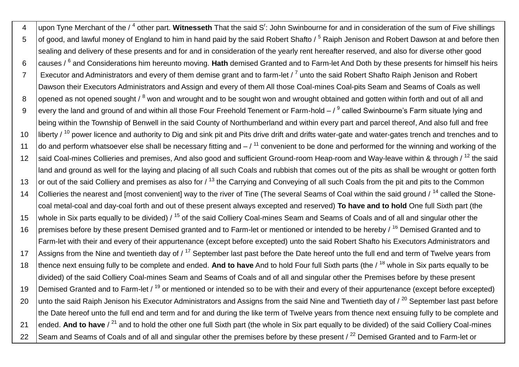4 |upon Tyne Merchant of the / <sup>4</sup> other part. Witnesseth That the said S<sup>r</sup>: John Swinbourne for and in consideration of the sum of Five shillings 5 of good, and lawful money of England to him in hand paid by the said Robert Shafto / <sup>5</sup> Raiph Jenison and Robert Dawson at and before then sealing and delivery of these presents and for and in consideration of the yearly rent hereafter reserved, and also for diverse other good 6 causes / <sup>6</sup> and Considerations him hereunto moving. **Hath** demised Granted and to Farm-let And Doth by these presents for himself his heirs 7  $\,$   $\,$  Executor and Administrators and every of them demise grant and to farm-let /  $^7$  unto the said Robert Shafto Raiph Jenison and Robert Dawson their Executors Administrators and Assign and every of them All those Coal-mines Coal-pits Seam and Seams of Coals as well 8 lopened as not opened sought / <sup>8</sup> won and wrought and to be sought won and wrought obtained and gotten within forth and out of all and 9 every the land and ground of and within all those Four Freehold Tenement or Farm-hold – / <sup>9</sup> called Swinbourne's Farm situate lying and being within the Township of Benwell in the said County of Northumberland and within every part and parcel thereof, And also full and free 10 liberty / <sup>10</sup> power licence and authority to Dig and sink pit and Pits drive drift and drifts water-gate and water-gates trench and trenches and to 11  $\vert$  do and perform whatsoever else shall be necessary fitting and  $-1^{11}$  convenient to be done and performed for the winning and working of the 12 said Coal-mines Collieries and premises, And also good and sufficient Ground-room Heap-room and Way-leave within & through / <sup>12</sup> the said land and ground as well for the laying and placing of all such Coals and rubbish that comes out of the pits as shall be wrought or gotten forth 13 or out of the said Colliery and premises as also for  $\ell$ <sup>13</sup> the Carrying and Conveying of all such Coals from the pit and pits to the Common 14 Collieries the nearest and [most convenient] way to the river of Tine (The several Seams of Coal within the said ground / <sup>14</sup> called the Stonecoal metal-coal and day-coal forth and out of these present always excepted and reserved) **To have and to hold** One full Sixth part (the 15 whole in Six parts equally to be divided)  $/15$  of the said Colliery Coal-mines Seam and Seams of Coals and of all and singular other the 16 premises before by these present Demised granted and to Farm-let or mentioned or intended to be hereby / <sup>16</sup> Demised Granted and to Farm-let with their and every of their appurtenance (except before excepted) unto the said Robert Shafto his Executors Administrators and 17 Assigns from the Nine and twentieth day of  $/17$  September last past before the Date hereof unto the full end and term of Twelve years from 18 thence next ensuing fully to be complete and ended. **And to have** And to hold Four full Sixth parts (the / <sup>18</sup> whole in Six parts equally to be divided) of the said Colliery Coal-mines Seam and Seams of Coals and of all and singular other the Premises before by these present 19 Demised Granted and to Farm-let / <sup>19</sup> or mentioned or intended so to be with their and every of their appurtenance (except before excepted) 20 unto the said Raiph Jenison his Executor Administrators and Assigns from the said Nine and Twentieth day of  $\ell^{20}$  September last past before the Date hereof unto the full end and term and for and during the like term of Twelve years from thence next ensuing fully to be complete and 21 ended. And to have / <sup>21</sup> and to hold the other one full Sixth part (the whole in Six part equally to be divided) of the said Colliery Coal-mines 22 Seam and Seams of Coals and of all and singular other the premises before by these present / <sup>22</sup> Demised Granted and to Farm-let or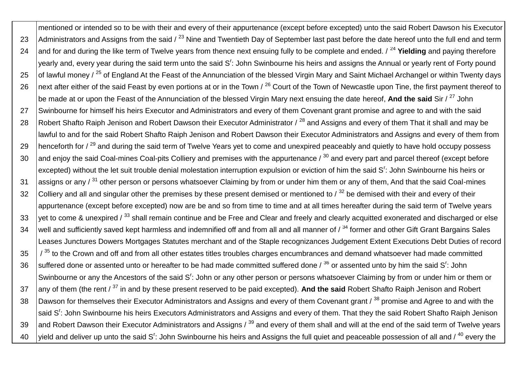mentioned or intended so to be with their and every of their appurtenance (except before excepted) unto the said Robert Dawson his Executor 23 Administrators and Assigns from the said  $\lambda^{23}$  Nine and Twentieth Day of September last past before the date hereof unto the full end and term 24 and for and during the like term of Twelve years from thence next ensuing fully to be complete and ended. / <sup>24</sup> **Yielding** and paying therefore yearly and, every year during the said term unto the said S<sup>r</sup>: John Swinbourne his heirs and assigns the Annual or yearly rent of Forty pound 25 of lawful money  $\ell^{25}$  of England At the Feast of the Annunciation of the blessed Virgin Mary and Saint Michael Archangel or within Twenty days 26 Inext after either of the said Feast by even portions at or in the Town  $/26$  Court of the Town of Newcastle upon Tine, the first payment thereof to be made at or upon the Feast of the Annunciation of the blessed Virgin Mary next ensuing the date hereof, **And the said** Sir / <sup>27</sup> John 27 Swinbourne for himself his heirs Executor and Administrators and every of them Covenant grant promise and agree to and with the said 28 Robert Shafto Raiph Jenison and Robert Dawson their Executor Administrator  $\ell^{28}$  and Assigns and every of them That it shall and may be lawful to and for the said Robert Shafto Raiph Jenison and Robert Dawson their Executor Administrators and Assigns and every of them from 29 | henceforth for  $\ell^{29}$  and during the said term of Twelve Years yet to come and unexpired peaceably and quietly to have hold occupy possess 30 and enjoy the said Coal-mines Coal-pits Colliery and premises with the appurtenance  $\beta^{30}$  and every part and parcel thereof (except before excepted) without the let suit trouble denial molestation interruption expulsion or eviction of him the said S<sup>r</sup>: John Swinbourne his heirs or 31 assigns or any / <sup>31</sup> other person or persons whatsoever Claiming by from or under him them or any of them, And that the said Coal-mines 32 Colliery and all and singular other the premises by these present demised or mentioned to  $/32$  be demised with their and every of their appurtenance (except before excepted) now are be and so from time to time and at all times hereafter during the said term of Twelve years 33 vet to come & unexpired  $\frac{33}{3}$  shall remain continue and be Free and Clear and freely and clearly acquitted exonerated and discharged or else 34 well and sufficiently saved kept harmless and indemnified off and from all and all manner of  $\beta$ <sup>34</sup> former and other Gift Grant Bargains Sales Leases Junctures Dowers Mortgages Statutes merchant and of the Staple recognizances Judgement Extent Executions Debt Duties of record  $35$   $\frac{1}{35}$  to the Crown and off and from all other estates titles troubles charges encumbrances and demand whatsoever had made committed 36  $\,$  suffered done or assented unto or hereafter to be had made committed suffered done /  $^{36}$  or assented unto by him the said S<sup>r</sup>: John Swinbourne or any the Ancestors of the said S<sup>r</sup>: John or any other person or persons whatsoever Claiming by from or under him or them or 37 any of them (the rent / <sup>37</sup> in and by these present reserved to be paid excepted). And the said Robert Shafto Raiph Jenison and Robert 38 | Dawson for themselves their Executor Administrators and Assigns and every of them Covenant grant / 38 promise and Agree to and with the said S<sup>r</sup>: John Swinbourne his heirs Executors Administrators and Assigns and every of them. That they the said Robert Shafto Raiph Jenison 39 and Robert Dawson their Executor Administrators and Assigns  $\frac{39}{9}$  and every of them shall and will at the end of the said term of Twelve years 40  $\,$  |yield and deliver up unto the said S<sup>r</sup>: John Swinbourne his heirs and Assigns the full quiet and peaceable possession of all and / <sup>40</sup> every the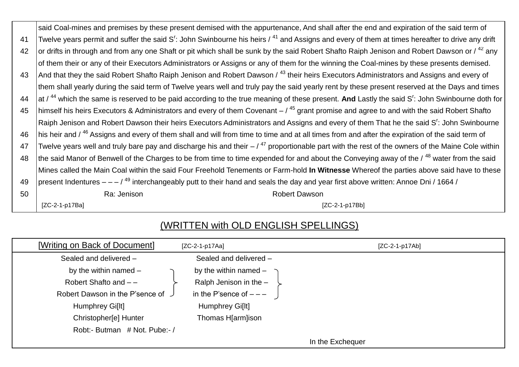|    | said Coal-mines and premises by these present demised with the appurtenance, And shall after the end and expiration of the said term of                                |  |  |
|----|------------------------------------------------------------------------------------------------------------------------------------------------------------------------|--|--|
| 41 | Twelve years permit and suffer the said $S^r$ : John Swinbourne his heirs $\ell^{41}$ and Assigns and every of them at times hereafter to drive any drift              |  |  |
| 42 | or drifts in through and from any one Shaft or pit which shall be sunk by the said Robert Shafto Raiph Jenison and Robert Dawson or / <sup>42</sup> any                |  |  |
|    | of them their or any of their Executors Administrators or Assigns or any of them for the winning the Coal-mines by these presents demised.                             |  |  |
| 43 | And that they the said Robert Shafto Raiph Jenison and Robert Dawson / <sup>43</sup> their heirs Executors Administrators and Assigns and every of                     |  |  |
|    | them shall yearly during the said term of Twelve years well and truly pay the said yearly rent by these present reserved at the Days and times                         |  |  |
| 44 | at / <sup>44</sup> which the same is reserved to be paid according to the true meaning of these present. And Lastly the said S <sup>r</sup> : John Swinbourne doth for |  |  |
| 45 | himself his heirs Executors & Administrators and every of them Covenant $-$ / $45$ grant promise and agree to and with the said Robert Shafto                          |  |  |
|    | Raiph Jenison and Robert Dawson their heirs Executors Administrators and Assigns and every of them That he the said S <sup>r</sup> : John Swinbourne                   |  |  |
| 46 | his heir and / <sup>46</sup> Assigns and every of them shall and will from time to time and at all times from and after the expiration of the said term of             |  |  |
| 47 | Twelve years well and truly bare pay and discharge his and their $-$ / $^{47}$ proportionable part with the rest of the owners of the Maine Cole within                |  |  |
| 48 | the said Manor of Benwell of the Charges to be from time to time expended for and about the Conveying away of the / <sup>48</sup> water from the said                  |  |  |
|    | Mines called the Main Coal within the said Four Freehold Tenements or Farm-hold In Witnesse Whereof the parties above said have to these                               |  |  |
| 49 | present Indentures $- -$ / <sup>49</sup> interchangeably putt to their hand and seals the day and year first above written: Annoe Dni / 1664 /                         |  |  |
| 50 | Ra: Jenison<br><b>Robert Dawson</b>                                                                                                                                    |  |  |
|    | $[ZC-2-1-p17Ba]$<br>$[ZC-2-1-p17Bb]$                                                                                                                                   |  |  |

## (WRITTEN with OLD ENGLISH SPELLINGS)

| [Writing on Back of Document]     | $[ZC-2-1-p17Aa]$        | $[ZC-2-1-p17Ab]$ |
|-----------------------------------|-------------------------|------------------|
| Sealed and delivered -            | Sealed and delivered -  |                  |
| by the within named $-$           | by the within named $-$ |                  |
| Robert Shafto and $-$ -           | Ralph Jenison in the -  |                  |
| Robert Dawson in the P'sence of J | in the P'sence of $---$ |                  |
| Humphrey Gi[lt]                   | Humphrey Gi[lt]         |                  |
| Christopher[e] Hunter             | Thomas H[arm]ison       |                  |
| Robt:- Butman # Not. Pube:- /     |                         |                  |
|                                   |                         | In the Exchequer |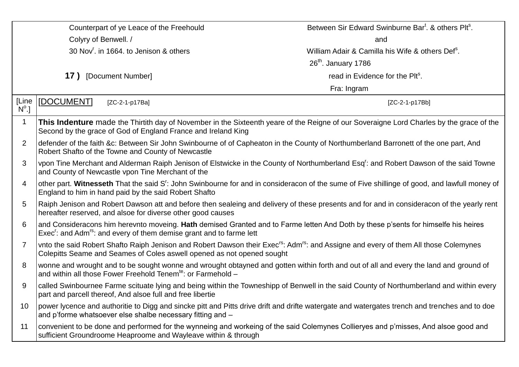| Counterpart of ye Leace of the Freehould |                                                                                                                                                                                                                                        | Between Sir Edward Swinburne Bart. & others Plt <sup>s</sup> . |  |
|------------------------------------------|----------------------------------------------------------------------------------------------------------------------------------------------------------------------------------------------------------------------------------------|----------------------------------------------------------------|--|
| Colyry of Benwell. /                     |                                                                                                                                                                                                                                        | and                                                            |  |
|                                          | 30 Nov <sup>r</sup> . in 1664. to Jenison & others                                                                                                                                                                                     | William Adair & Camilla his Wife & others Def <sup>s</sup> .   |  |
|                                          |                                                                                                                                                                                                                                        | $26th$ . January 1786                                          |  |
| 17 ) [Document Number]                   |                                                                                                                                                                                                                                        | read in Evidence for the Plt <sup>s</sup> .                    |  |
|                                          |                                                                                                                                                                                                                                        | Fra: Ingram                                                    |  |
| [Line<br>$N^{\circ}.$                    | [DOCUMENT]<br>[ZC-2-1-p17Ba]                                                                                                                                                                                                           | [ZC-2-1-p17Bb]                                                 |  |
| 1                                        | This Indenture made the Thirtith day of November in the Sixteenth yeare of the Reigne of our Soveraigne Lord Charles by the grace of the<br>Second by the grace of God of England France and Ireland King                              |                                                                |  |
| 2                                        | defender of the faith &c: Between Sir John Swinbourne of of Capheaton in the County of Northumberland Barronett of the one part, And<br>Robert Shafto of the Towne and County of Newcastle                                             |                                                                |  |
| 3                                        | vpon Tine Merchant and Alderman Raiph Jenison of Elstwicke in the County of Northumberland Esq <sup>r</sup> : and Robert Dawson of the said Towne<br>and County of Newcastle vpon Tine Merchant of the                                 |                                                                |  |
| 4                                        | other part. Witnesseth That the said S <sup>r</sup> : John Swinbourne for and in consideracon of the sume of Five shillinge of good, and lawfull money of<br>England to him in hand paid by the said Robert Shafto                     |                                                                |  |
| 5                                        | Raiph Jenison and Robert Dawson att and before then sealeing and delivery of these presents and for and in consideracon of the yearly rent<br>hereafter reserved, and alsoe for diverse other good causes                              |                                                                |  |
| 6                                        | and Consideracons him herevnto moveing. Hath demised Granted and to Farme letten And Doth by these p'sents for himselfe his heires<br>Exec <sup>r</sup> : and Adm <sup>rs</sup> : and every of them demise grant and to farme lett     |                                                                |  |
| 7                                        | vnto the said Robert Shafto Raiph Jenison and Robert Dawson their Exec <sup>rs</sup> : Adm <sup>rs</sup> : and Assigne and every of them All those Colemynes<br>Colepitts Seame and Seames of Coles aswell opened as not opened sought |                                                                |  |
| 8                                        | wonne and wrought and to be sought wonne and wrought obtayned and gotten within forth and out of all and every the land and ground of<br>and within all those Fower Freehold Tenem <sup>te</sup> : or Farmehold -                      |                                                                |  |
| 9                                        | called Swinbournee Farme scituate lying and being within the Towneshipp of Benwell in the said County of Northumberland and within every<br>part and parcell thereof, And alsoe full and free libertie                                 |                                                                |  |
| 10                                       | power lycence and authoritie to Digg and sincke pitt and Pitts drive drift and drifte watergate and watergates trench and trenches and to doe<br>and p'forme whatsoever else shalbe necessary fitting and -                            |                                                                |  |
| 11                                       | convenient to be done and performed for the wynneing and workeing of the said Colemynes Collieryes and p'misses, And alsoe good and<br>sufficient Groundroome Heaproome and Wayleave within & through                                  |                                                                |  |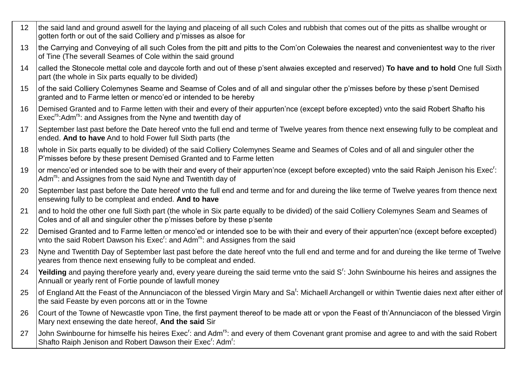12 Ithe said land and ground aswell for the laying and placeing of all such Coles and rubbish that comes out of the pitts as shallbe wrought or gotten forth or out of the said Colliery and p'misses as alsoe for 13 the Carrying and Conveying of all such Coles from the pitt and pitts to the Com'on Colewaies the nearest and convenientest way to the river of Tine (The severall Seames of Cole within the said ground 14 called the Stonecole mettal cole and daycole forth and out of these p'sent alwaies excepted and reserved) **To have and to hold** One full Sixth part (the whole in Six parts equally to be divided) 15 of the said Colliery Colemynes Seame and Seamse of Coles and of all and singular other the p'misses before by these p'sent Demised granted and to Farme letten or menco'ed or intended to be hereby 16 Demised Granted and to Farme letten with their and every of their appurten'nce (except before excepted) vnto the said Robert Shafto his Exec<sup>rs</sup>: Adm<sup>rs</sup>: and Assignes from the Nyne and twentith day of 17 September last past before the Date hereof vnto the full end and terme of Twelve yeares from thence next ensewing fully to be compleat and ended. **And to have** And to hold Fower full Sixth parts (the 18 whole in Six parts equally to be divided) of the said Colliery Colemynes Seame and Seames of Coles and of all and singuler other the P'misses before by these present Demised Granted and to Farme letten 19 | or menco'ed or intended soe to be with their and every of their appurten'nce (except before excepted) vnto the said Raiph Jenison his Exec<sup>r</sup>: Adm<sup>rs</sup>: and Assignes from the said Nyne and Twentith day of 20 September last past before the Date hereof vnto the full end and terme and for and dureing the like terme of Twelve yeares from thence next ensewing fully to be compleat and ended. **And to have** 21 and to hold the other one full Sixth part (the whole in Six parte equally to be divided) of the said Colliery Colemynes Seam and Seames of Coles and of all and singuler other the p'misses before by these p'sente 22 Demised Granted and to Farme letten or menco'ed or intended soe to be with their and every of their appurten'nce (except before excepted) vnto the said Robert Dawson his Exec<sup>r</sup>: and Adm<sup>rs</sup>: and Assignes from the said 23 Nyne and Twentith Day of September last past before the date hereof vnto the full end and terme and for and dureing the like terme of Twelve yeares from thence next ensewing fully to be compleat and ended. 24 Yeilding and paying therefore yearly and, every yeare dureing the said terme vnto the said S<sup>r</sup>: John Swinbourne his heires and assignes the Annuall or yearly rent of Fortie pounde of lawfull money 25  $\,$  of England Att the Feast of the Annunciacon of the blessed Virgin Mary and Sa<sup>t</sup>: Michaell Archangell or within Twentie daies next after either of the said Feaste by even porcons att or in the Towne 26 Court of the Towne of Newcastle vpon Tine, the first payment thereof to be made att or vpon the Feast of th'Annunciacon of the blessed Virgin Mary next ensewing the date hereof, **And the said** Sir 27 John Swinbourne for himselfe his heires Exec<sup>r</sup>: and Adm<sup>rs</sup>: and every of them Covenant grant promise and agree to and with the said Robert Shafto Raiph Jenison and Robert Dawson their Exec<sup>r</sup>: Adm<sup>r</sup>: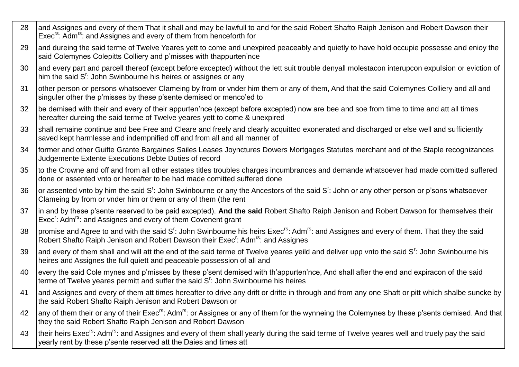28 and Assignes and every of them That it shall and may be lawfull to and for the said Robert Shafto Raiph Jenison and Robert Dawson their Exec<sup>rs</sup>: Adm<sup>rs</sup>: and Assignes and every of them from henceforth for 29 and dureing the said terme of Twelve Yeares yett to come and unexpired peaceably and quietly to have hold occupie possesse and enioy the said Colemynes Colepitts Colliery and p'misses with thappurten'nce 30 and every part and parcell thereof (except before excepted) without the lett suit trouble denyall molestacon interupcon expulsion or eviction of him the said S': John Swinbourne his heires or assignes or any 31 other person or persons whatsoever Clameing by from or vnder him them or any of them, And that the said Colemynes Colliery and all and singuler other the p'misses by these p'sente demised or menco'ed to 32 be demised with their and every of their appurten'nce (except before excepted) now are bee and soe from time to time and att all times hereafter dureing the said terme of Twelve yeares yett to come & unexpired 33 Shall remaine continue and bee Free and Cleare and freely and clearly acquitted exonerated and discharged or else well and sufficiently saved kept harmlesse and indempnified off and from all and all manner of 34 former and other Guifte Grante Bargaines Sailes Leases Joynctures Dowers Mortgages Statutes merchant and of the Staple recognizances Judgemente Extente Executions Debte Duties of record 35 to the Crowne and off and from all other estates titles troubles charges incumbrances and demande whatsoever had made comitted suffered done or assented vnto or hereafter to be had made comitted suffered done 36 or assented vnto by him the said S<sup>r</sup> : John Swinbourne or any the Ancestors of the said S<sup>r</sup> : John or any other person or p'sons whatsoever Clameing by from or vnder him or them or any of them (the rent 37 in and by these p'sente reserved to be paid excepted). **And the said** Robert Shafto Raiph Jenison and Robert Dawson for themselves their Exec<sup>r</sup>: Adm<sup>rs</sup>: and Assignes and every of them Covenent grant 38 promise and Agree to and with the said S<sup>r</sup> : John Swinbourne his heirs Execrs: Admrs: and Assignes and every of them. That they the said Robert Shafto Raiph Jenison and Robert Dawson their Exec<sup>r</sup>: Adm<sup>rs</sup>: and Assignes 39 and every of them shall and will att the end of the said terme of Twelve yeares yeild and deliver upp vnto the said S<sup>r</sup>: John Swinbourne his heires and Assignes the full quiett and peaceable possession of all and 40 every the said Cole mynes and p'misses by these p'sent demised with th'appurten'nce, And shall after the end and expiracon of the said terme of Twelve yeares permitt and suffer the said S': John Swinbourne his heires 41 and Assignes and every of them att times hereafter to drive any drift or drifte in through and from any one Shaft or pitt which shalbe suncke by the said Robert Shafto Raiph Jenison and Robert Dawson or 42 any of them their or any of their Exec<sup>rs</sup>: Adm<sup>rs</sup>: or Assignes or any of them for the wynneing the Colemynes by these p'sents demised. And that they the said Robert Shafto Raiph Jenison and Robert Dawson 43 Itheir heirs Exec<sup>rs</sup>: Adm<sup>rs</sup>: and Assignes and every of them shall yearly during the said terme of Twelve yeares well and truely pay the said yearly rent by these p'sente reserved att the Daies and times att